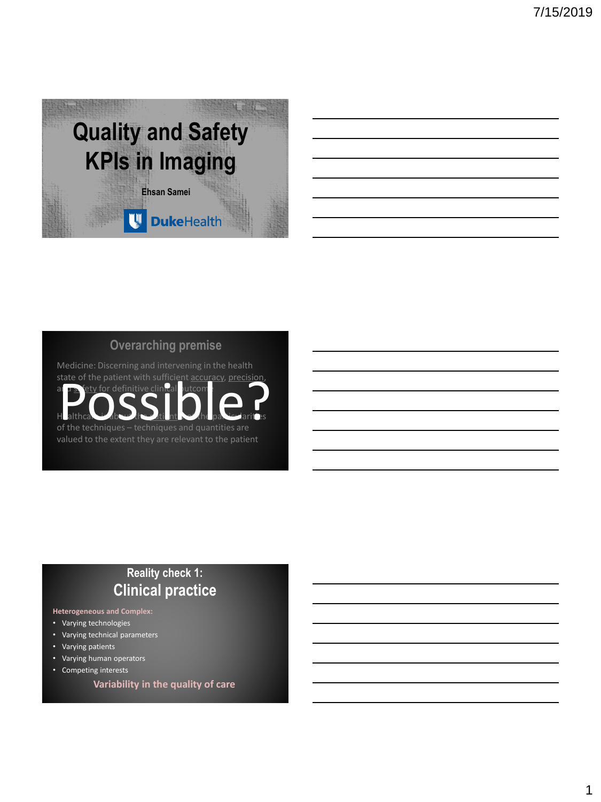

### **Overarching premise**

Medicine: Discerning and intervening in the health state of the patient with sufficient accuracy, precision and  $\mathbf{s}$  fety for definitive clinical outcom Healthcare is about the still nt  $\sim$  the particularities. of the techniques – techniques and quantities are<br>
of the techniques – techniques and quantities are

# **Reality check 1: Clinical practice**

#### **Heterogeneous and Complex:**

- Varying technologies
- Varying technical parameters
- Varying patients
- Varying human operators
- Competing interests
	- **Variability in the quality of care**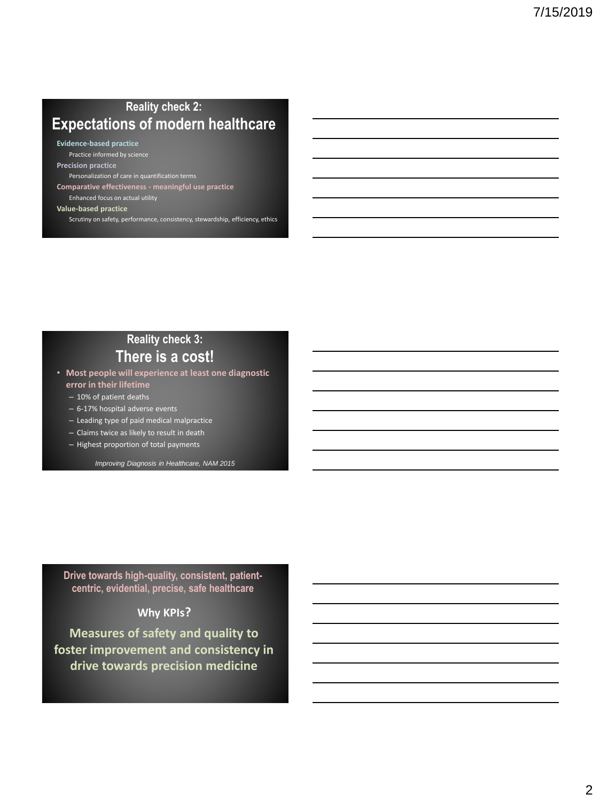### **Reality check 2: Expectations of modern healthcare**

**Evidence-based practice**

Practice informed by science **Precision practice**

Personalization of care in quantification terms

**Comparative effectiveness - meaningful use practice**

Enhanced focus on actual utility **Value-based practice**

Scrutiny on safety, performance, consistency, stewardship, efficiency, ethics

### **Reality check 3: There is a cost!**

• **Most people will experience at least one diagnostic error in their lifetime**

- 10% of patient deaths
- 6-17% hospital adverse events
- Leading type of paid medical malpractice
- Claims twice as likely to result in death
- Highest proportion of total payments

*Improving Diagnosis in Healthcare, NAM 2015*

**Drive towards high-quality, consistent, patientcentric, evidential, precise, safe healthcare**

### **Why KPIs?**

**Measures of safety and quality to foster improvement and consistency in drive towards precision medicine**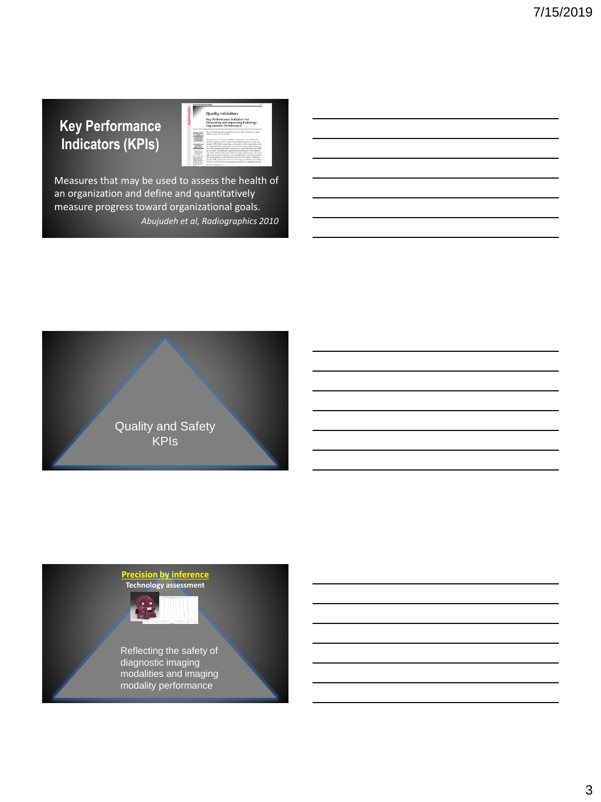# **Key Performance Indicators (KPIs)**

|                                                                                                                                                                                                                             | <b>Quality Initiatives</b>                                                                                                                                                                                                                                                                                                                                                                                                                                                                                                                                                                                                                                                                                                                                                                                                                                                              |
|-----------------------------------------------------------------------------------------------------------------------------------------------------------------------------------------------------------------------------|-----------------------------------------------------------------------------------------------------------------------------------------------------------------------------------------------------------------------------------------------------------------------------------------------------------------------------------------------------------------------------------------------------------------------------------------------------------------------------------------------------------------------------------------------------------------------------------------------------------------------------------------------------------------------------------------------------------------------------------------------------------------------------------------------------------------------------------------------------------------------------------------|
|                                                                                                                                                                                                                             | Key Performance Indicators for<br>Measuring and Improving Radiology<br><b>Department Performance</b> <sup>*</sup>                                                                                                                                                                                                                                                                                                                                                                                                                                                                                                                                                                                                                                                                                                                                                                       |
| <b>GARAGEMENT</b><br>$-$<br><b>Contractor</b><br><b>Address</b><br><b>GALLANT</b><br>$-100$<br><b>COLORADO</b><br><b>ALL ALLINE</b><br>---<br>Controller on<br><b>CAR AT SAULT-AN</b><br>to be done for<br>and the form and | Hen H. Abandel, HD . Pathama Kareka, HD . Benjama & Atlas,<br>MAPLE + Rancy IV Thurs, ALD<br>Let net report industry (QTs) are leased out conformed.<br>neways that are used to define and evaluate the section of an ergo-<br>marion. KPIs differ. detecting on the catary of the reporterminated<br>by explainted ensure they as detailed to hair electronic man-<br>any of an oppositely to pract schemes in theorems with and hidde-<br>ing its vision. In healthcare regardentiers, performance assessment is<br>result in critical for the development of best precisions that can load to<br>merced returns in nature can, and EPS have been incommend-<br>any more boddicate management respects, far the future, radiology-<br>greatin KFIs work as these in not ot the notices' transition must belo-<br>persons a framework for incomplex performance in radiology practice. |

Measures that may be used to assess the health of an organization and define and quantitatively measure progress toward organizational goals. *Abujudeh et al, Radiographics 2010*



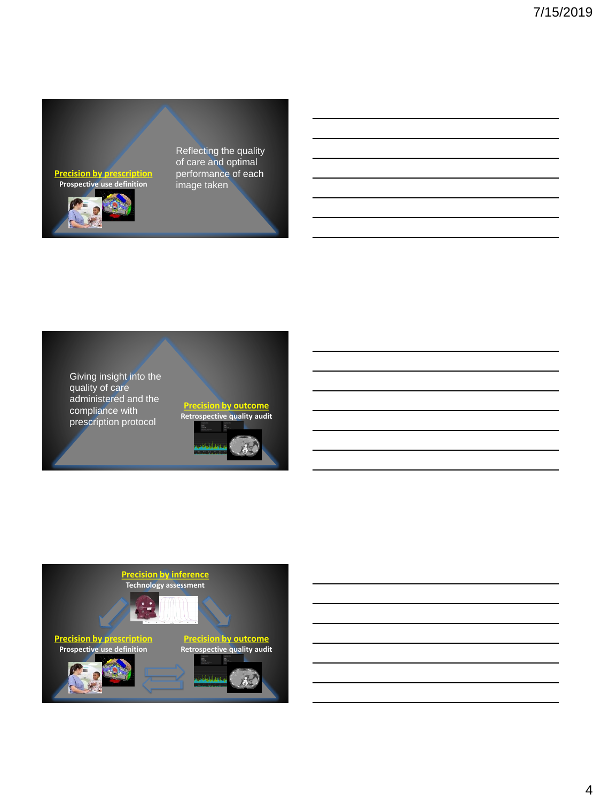**Precision by prescription Prospective use definition**



Reflecting the quality of care and optimal performance of each image taken





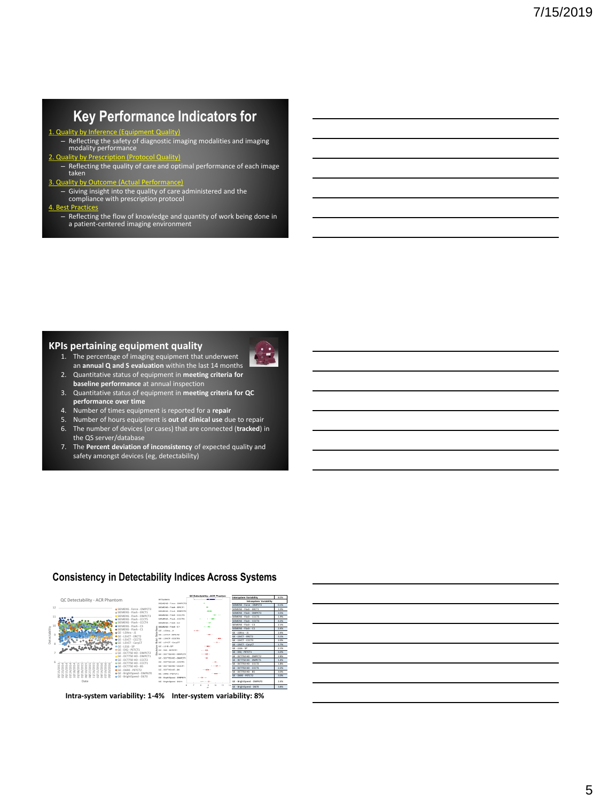### **Key Performance Indicators for**

1. Quality by Inference (Equipment Quality) – Reflecting the safety of diagnostic imaging modalities and imaging modality performance

### 2. Quality by Pr

– Reflecting the quality of care and optimal performance of each image taken

3. Quality by Outcome (Actual Performance) – Giving insight into the quality of care administered and the compliance with prescription protocol

#### 4. Best Practices

– Reflecting the flow of knowledge and quantity of work being done in a patient-centered imaging environment

#### **KPIs pertaining equipment quality**

- 1. The percentage of imaging equipment that underwent an **annual Q and S evaluation** within the last 14 months
- 2. Quantitative status of equipment in **meeting criteria for baseline performance** at annual inspection
- 3. Quantitative status of equipment in **meeting criteria for QC performance over time**
- 4. Number of times equipment is reported for a **repair**
- 5. Number of hours equipment is **out of clinical use** due to repair
- 6. The number of devices (or cases) that are connected (**tracked**) in the QS server/database
- 7. The **Percent deviation of inconsistency** of expected quality and safety amongst devices (eg, detectability)



#### **Consistency in Detectability Indices Across Systems**

**Intra-system variability: 1-4% Inter-system variability: 8%**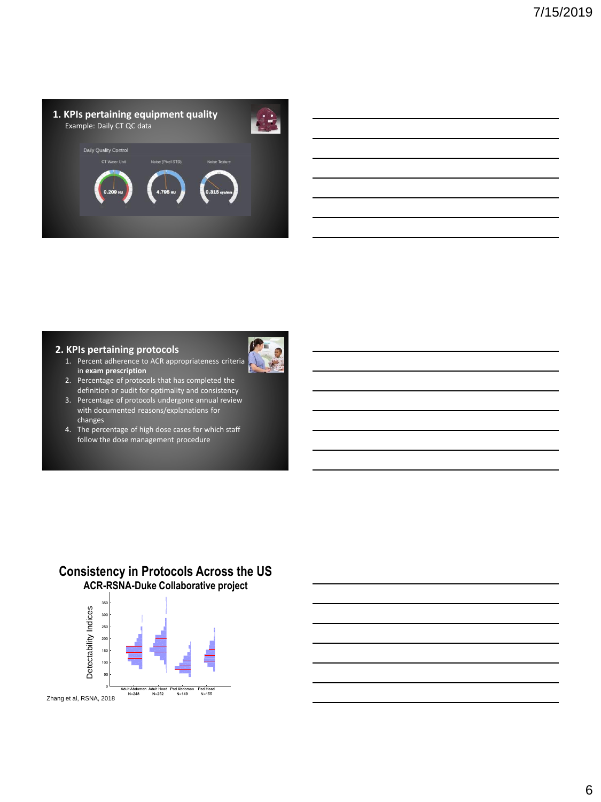

#### **2. KPIs pertaining protocols**

1. Percent adherence to ACR appropriateness criteria in **exam prescription**



- 2. Percentage of protocols that has completed the definition or audit for optimality and consistency
- 3. Percentage of protocols undergone annual review with documented reasons/explanations for changes
- 4. The percentage of high dose cases for which staff follow the dose management procedure

### **Consistency in Protocols Across the US ACR-RSNA-Duke Collaborative project**

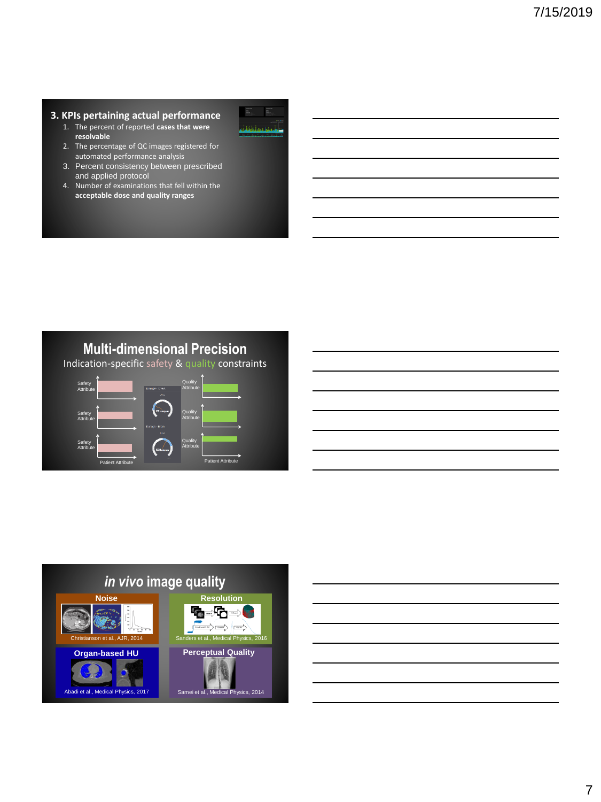#### **3. KPIs pertaining actual performance**

- 1. The percent of reported **cases that were resolvable**
- 2. The percentage of QC images registered for automated performance analysis
- 3. Percent consistency between prescribed and applied protocol
- 4. Number of examinations that fell within the **acceptable dose and quality ranges**



### **Multi-dimensional Precision**

Indication-specific safety & quality constraints







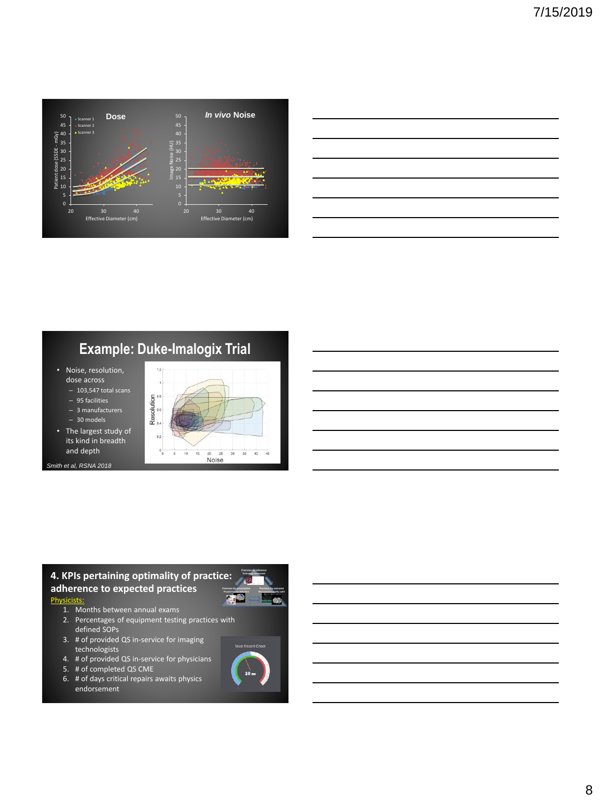

| <u> 1989 - Johann Stoff, amerikansk politiker (d. 1989)</u> |                                                                                                                       |  |
|-------------------------------------------------------------|-----------------------------------------------------------------------------------------------------------------------|--|
|                                                             |                                                                                                                       |  |
|                                                             |                                                                                                                       |  |
|                                                             |                                                                                                                       |  |
|                                                             |                                                                                                                       |  |
|                                                             |                                                                                                                       |  |
|                                                             |                                                                                                                       |  |
|                                                             |                                                                                                                       |  |
|                                                             |                                                                                                                       |  |
|                                                             |                                                                                                                       |  |
|                                                             |                                                                                                                       |  |
|                                                             | <u> 1989 - Johann Stoff, deutscher Stoff, der Stoff, der Stoff, der Stoff, der Stoff, der Stoff, der Stoff, der S</u> |  |
|                                                             |                                                                                                                       |  |
|                                                             |                                                                                                                       |  |
|                                                             |                                                                                                                       |  |
|                                                             |                                                                                                                       |  |
|                                                             |                                                                                                                       |  |
|                                                             |                                                                                                                       |  |
|                                                             |                                                                                                                       |  |
|                                                             |                                                                                                                       |  |
|                                                             |                                                                                                                       |  |
|                                                             |                                                                                                                       |  |
|                                                             |                                                                                                                       |  |
|                                                             |                                                                                                                       |  |
|                                                             |                                                                                                                       |  |
|                                                             |                                                                                                                       |  |
|                                                             |                                                                                                                       |  |
|                                                             |                                                                                                                       |  |
|                                                             |                                                                                                                       |  |
|                                                             |                                                                                                                       |  |
|                                                             |                                                                                                                       |  |
|                                                             |                                                                                                                       |  |
|                                                             |                                                                                                                       |  |
|                                                             |                                                                                                                       |  |

# **Example: Duke-Imalogix Trial**

- Noise, resolution, dose across
- 103,547 total scans
- 95 facilities – 3 manufacturers
- 30 models
- 
- The largest study of its kind in breadth and depth

*Smith et al, RSNA 2018*



# **4. KPIs pertaining optimality of practice:**

**adherence to expected practices**

#### Physicists:

- 1. Months between annual exams
- 2. Percentages of equipment testing practices with defined SOPs
- 3. # of provided QS in-service for imaging technologists
- 4. # of provided QS in-service for physicians
- 5. # of completed QS CME
- 6. # of days critical repairs awaits physics endorsement



**Precision by inference**

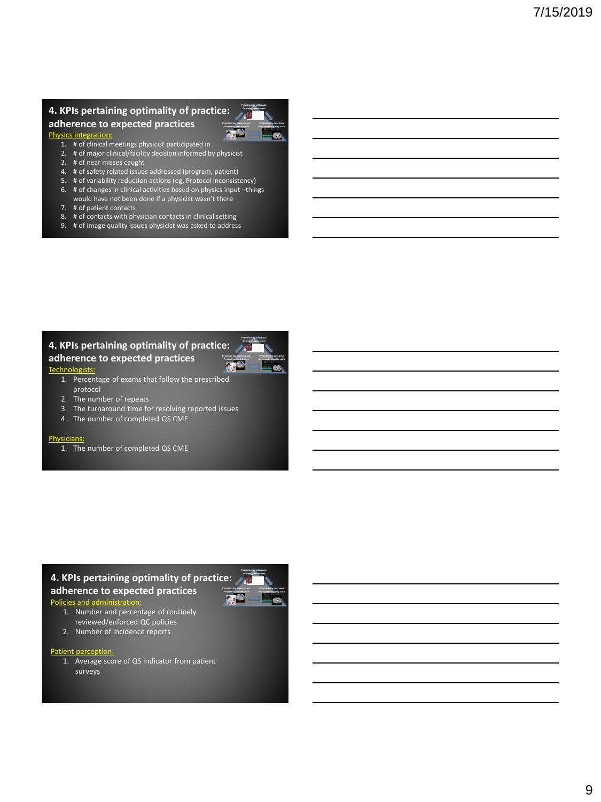#### **4. KPIs pertaining optimality of practice: adherence to expected practices**



**Precision by inference Technology assessment Precision by prescription Prospective use definition Precision by outcome Retrospective quality audit**

**Cal** 

Physics integration:

- 1. # of clinical meetings physicist participated in 2. # of major clinical/facility decision informed by physicist
- 3. # of near misses caught
- 4. # of safety related issues addressed (program, patient)
- 5. # of variability reduction actions (eg, Protocol inconsistency)
- 6. # of changes in clinical activities based on physics input –things would have not been done if a physicist wasn't there
- 7. # of patient contacts
- 8. The contacts with physician contacts in clinical setting
- 9. # of image quality issues physicist was asked to address

### **4. KPIs pertaining optimality of practice:**

#### **adherence to expected practices**

#### **Technologists**

- 1. Percentage of exams that follow the prescribed protocol
- 2. The number of repeats
- 3. The turnaround time for resolving reported issues
- 4. The number of completed QS CME

#### Physicians:

1. The number of completed QS CME

### **4. KPIs pertaining optimality of practice:**

**adherence to expected practices**

#### Policies and ad

- 1. Number and percentage of routinely reviewed/enforced QC policies
- 2. Number of incidence reports

#### Patient perception:

1. Average score of QS indicator from patient surveys



**Precision by inference**